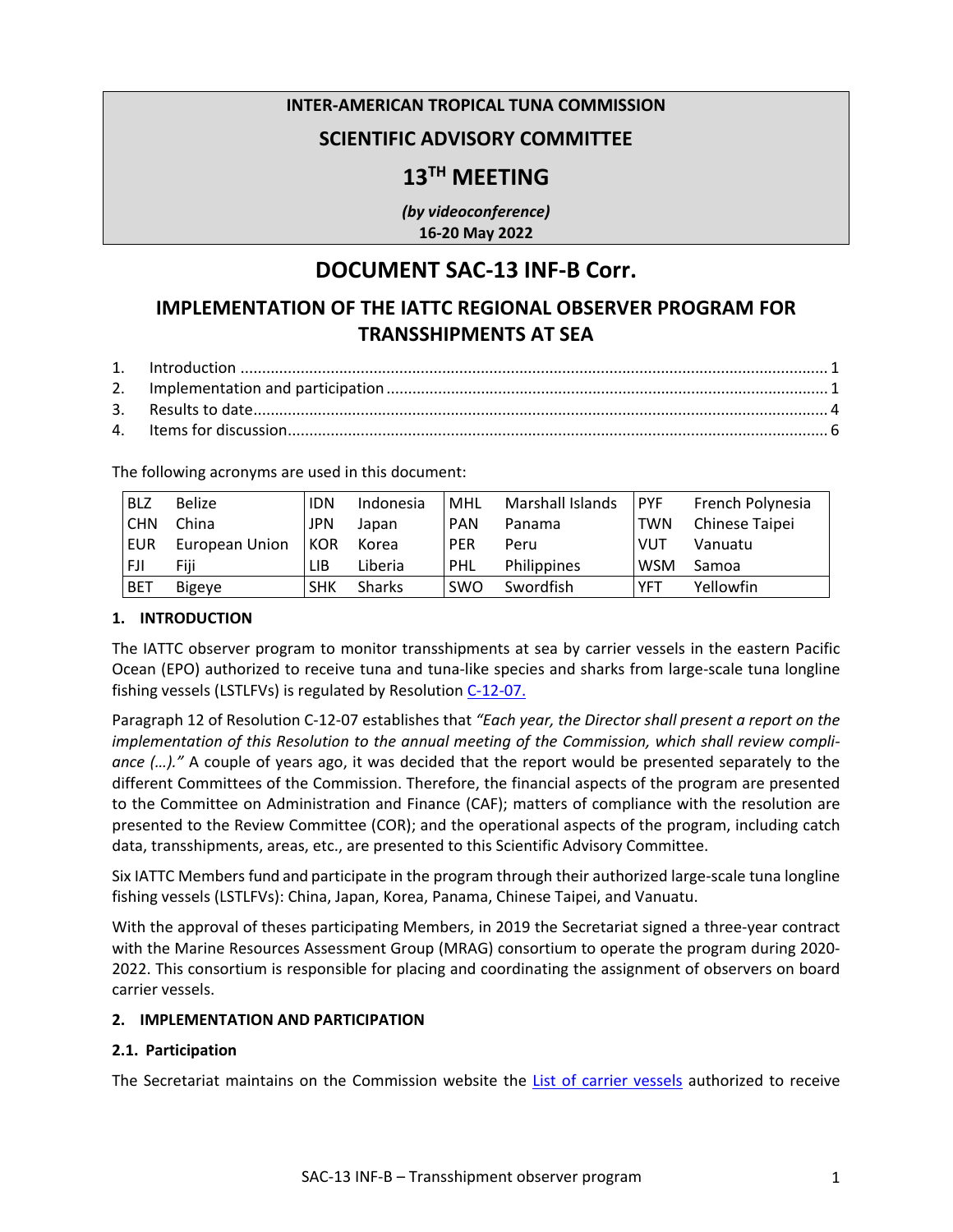### **INTER-AMERICAN TROPICAL TUNA COMMISSION**

## **SCIENTIFIC ADVISORY COMMITTEE**

# **13TH MEETING**

*(by videoconference)* **16-20 May 2022**

## **DOCUMENT SAC-13 INF-B Corr.**

# **IMPLEMENTATION OF THE IATTC REGIONAL OBSERVER PROGRAM FOR TRANSSHIPMENTS AT SEA**

The following acronyms are used in this document:

| <b>BLZ</b> | <b>Belize</b>  | <b>IDN</b> | Indonesia     | <b>MHL</b> | Marshall Islands | <b>PYF</b> | French Polynesia |
|------------|----------------|------------|---------------|------------|------------------|------------|------------------|
| <b>CHN</b> | China          | <b>JPN</b> | Japan         | <b>PAN</b> | Panama           | <b>TWN</b> | Chinese Taipei   |
| EUR        | European Union | <b>KOR</b> | Korea         | <b>PER</b> | Peru             | <b>VUT</b> | Vanuatu          |
| <b>FJI</b> | Fiii           | LIB        | Liberia       | PHL        | Philippines      | <b>WSM</b> | Samoa            |
| <b>BET</b> | <b>Bigeye</b>  | <b>SHK</b> | <b>Sharks</b> | <b>SWO</b> | Swordfish        | <b>YFT</b> | Yellowfin        |

#### **1. INTRODUCTION**

The IATTC observer program to monitor transshipments at sea by carrier vessels in the eastern Pacific Ocean (EPO) authorized to receive tuna and tuna-like species and sharks from large-scale tuna longline fishing vessels (LSTLFVs) is regulated by Resolution [C-12-07.](https://www.iattc.org/PDFFiles/Resolutions/IATTC/_English/C-12-07-Active_Amends%20and%20replaces%20C-11-09%20Transhipments.pdf)

Paragraph 12 of Resolution C-12-07 establishes that *"Each year, the Director shall present a report on the implementation of this Resolution to the annual meeting of the Commission, which shall review compliance (…)."* A couple of years ago, it was decided that the report would be presented separately to the different Committees of the Commission. Therefore, the financial aspects of the program are presented to the Committee on Administration and Finance (CAF); matters of compliance with the resolution are presented to the Review Committee (COR); and the operational aspects of the program, including catch data, transshipments, areas, etc., are presented to this Scientific Advisory Committee.

Six IATTC Members fund and participate in the program through their authorized large-scale tuna longline fishing vessels (LSTLFVs): China, Japan, Korea, Panama, Chinese Taipei, and Vanuatu.

With the approval of theses participating Members, in 2019 the Secretariat signed a three-year contract with the Marine Resources Assessment Group (MRAG) consortium to operate the program during 2020- 2022. This consortium is responsible for placing and coordinating the assignment of observers on board carrier vessels.

#### **2. IMPLEMENTATION AND PARTICIPATION**

#### **2.1. Participation**

The Secretariat maintains on the Commission website the [List of carrier vessels](http://www.iattc.org/PDFFiles2/CarrierVessels.pdf) authorized to receive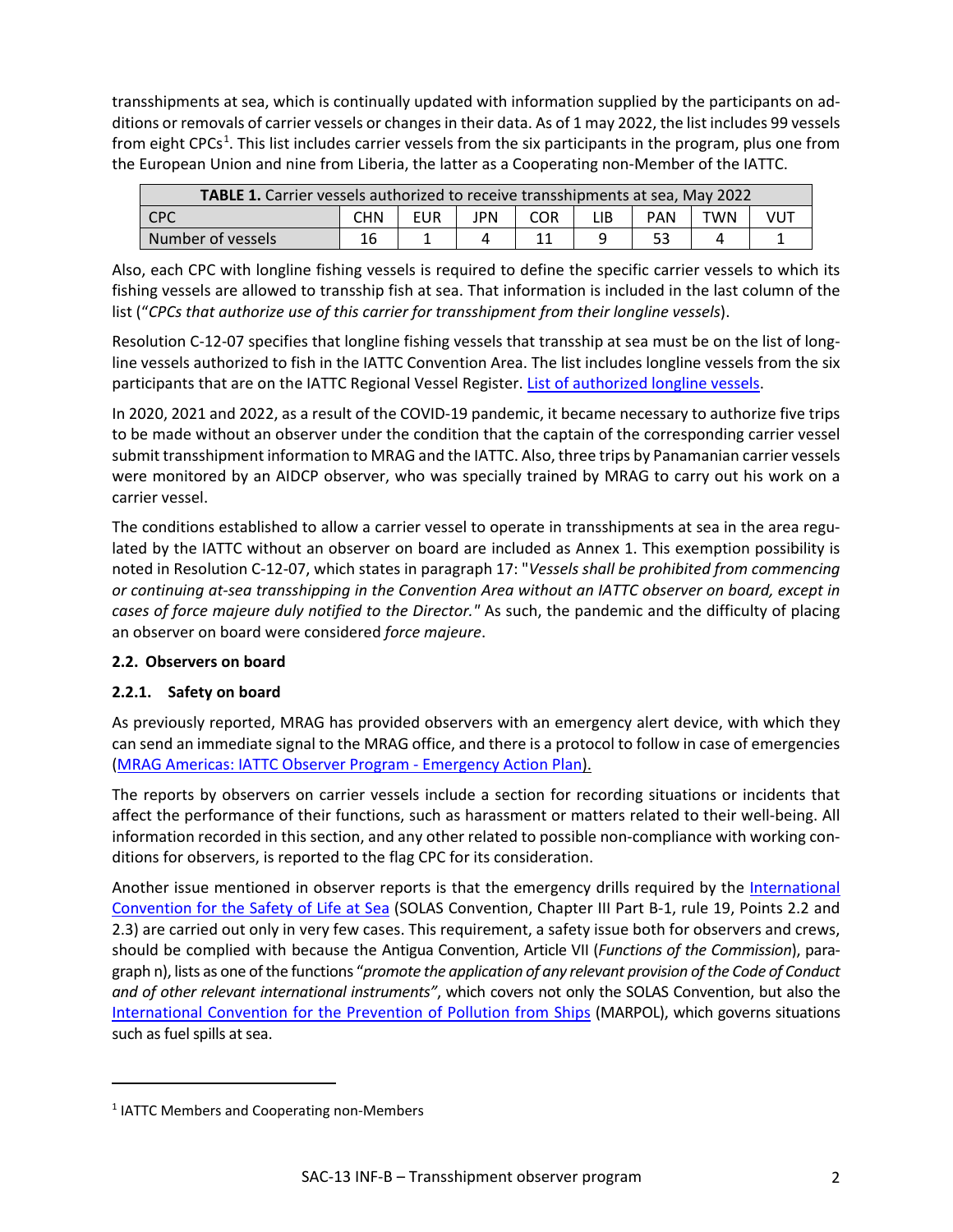transshipments at sea, which is continually updated with information supplied by the participants on additions or removals of carrier vessels or changes in their data. As of 1 may 2022, the list includes 99 vessels from eight CPCs<sup>[1](#page-1-0)</sup>. This list includes carrier vessels from the six participants in the program, plus one from the European Union and nine from Liberia, the latter as a Cooperating non-Member of the IATTC.

| TABLE 1. Carrier vessels authorized to receive transshipments at sea, May 2022 |     |      |     |            |     |            |     |     |  |
|--------------------------------------------------------------------------------|-----|------|-----|------------|-----|------------|-----|-----|--|
| <b>CPC</b>                                                                     | CHN | EUR. | JPN | <b>COR</b> | LIB | <b>PAN</b> | TWN | VUT |  |
| Number of vessels                                                              | 16  |      |     |            |     |            |     |     |  |

Also, each CPC with longline fishing vessels is required to define the specific carrier vessels to which its fishing vessels are allowed to transship fish at sea. That information is included in the last column of the list ("*CPCs that authorize use of this carrier for transshipment from their longline vessels*).

Resolution [C-12-07](https://www.iattc.org/PDFFiles/Resolutions/IATTC/_Spanish/C-12-07-Enmienda-C-11-09-Transbordos.pdf) specifies that longline fishing vessels that transship at sea must be on the list of longline vessels authorized to fish in the IATTC Convention Area. The list includes longline vessels from the six participants that are on the IATTC Regional Vessel Register. [List of authorized longline vessels.](https://www.iattc.org/VesselRegister/VesselList.aspx?List=Longline&Lang=SPN)

In 2020, 2021 and 2022, as a result of the COVID-19 pandemic, it became necessary to authorize five trips to be made without an observer under the condition that the captain of the corresponding carrier vessel submit transshipment information to MRAG and the IATTC. Also, three trips by Panamanian carrier vessels were monitored by an AIDCP observer, who was specially trained by MRAG to carry out his work on a carrier vessel.

The conditions established to allow a carrier vessel to operate in transshipments at sea in the area regulated by the IATTC without an observer on board are included as Annex 1. This exemption possibility is noted in Resolution C-12-07, which states in paragraph 17: "*Vessels shall be prohibited from commencing or continuing at-sea transshipping in the Convention Area without an IATTC observer on board, except in cases of force majeure duly notified to the Director."* As such, the pandemic and the difficulty of placing an observer on board were considered *force majeure*.

### **2.2. Observers on board**

## **2.2.1. Safety on board**

As previously reported, MRAG has provided observers with an emergency alert device, with which they can send an immediate signal to the MRAG office, and there is a protocol to follow in case of emergencies [\(MRAG Americas: IATTC Observer Program - Emergency Action Plan\).](https://www.iattc.org/Meetings/Meetings2017/IATTC-92/PDFs/Docs/_English/IATTC-92-06_Addendum-1-MRAG-Americas-IATTC-Observer-Program.pdf)

The reports by observers on carrier vessels include a section for recording situations or incidents that affect the performance of their functions, such as harassment or matters related to their well-being. All information recorded in this section, and any other related to possible non-compliance with working conditions for observers, is reported to the flag CPC for its consideration.

Another issue mentioned in observer reports is that the emergency drills required by the [International](http://www.imo.org/en/about/conventions/listofconventions/pages/international-convention-for-the-safety-of-life-at-sea-(solas),-1974.aspx)  [Convention for the Safety of Life at Sea](http://www.imo.org/en/about/conventions/listofconventions/pages/international-convention-for-the-safety-of-life-at-sea-(solas),-1974.aspx) (SOLAS Convention, Chapter III Part B-1, rule 19, Points 2.2 and 2.3) are carried out only in very few cases. This requirement, a safety issue both for observers and crews, should be complied with because the Antigua Convention, Article VII (*Functions of the Commission*), paragraph n), lists as one of the functions "*promote the application of any relevant provision of the Code of Conduct and of other relevant international instruments"*, which covers not only the SOLAS Convention, but also the [International Convention for the Prevention of Pollution from Ships](http://www.imo.org/en/About/Conventions/ListOfConventions/Pages/International-Convention-for-the-Prevention-of-Pollution-from-Ships-(MARPOL).aspx) (MARPOL), which governs situations such as fuel spills at sea.

<span id="page-1-0"></span><sup>1</sup> IATTC Members and Cooperating non-Members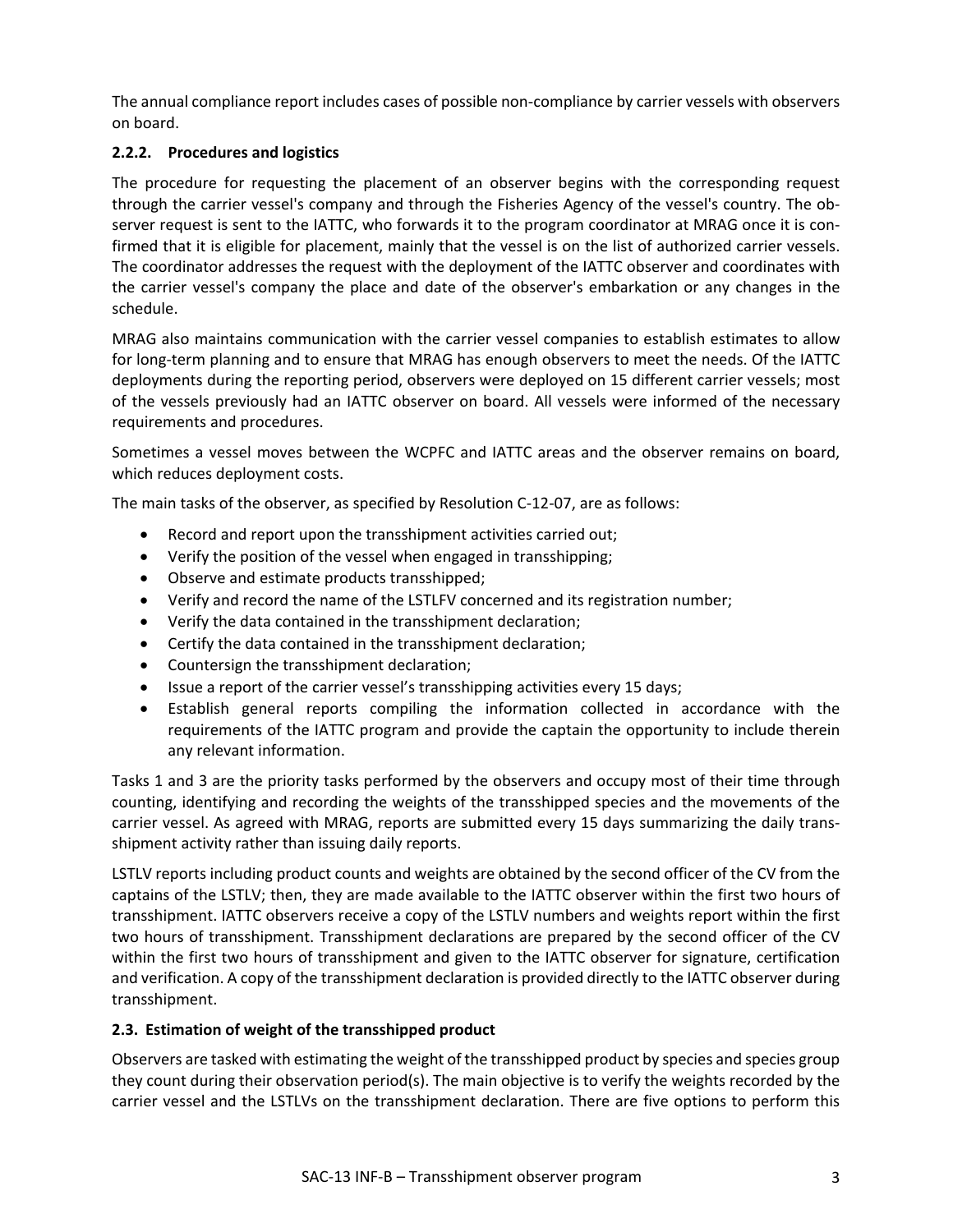The annual compliance report includes cases of possible non-compliance by carrier vessels with observers on board.

## **2.2.2. Procedures and logistics**

The procedure for requesting the placement of an observer begins with the corresponding request through the carrier vessel's company and through the Fisheries Agency of the vessel's country. The observer request is sent to the IATTC, who forwards it to the program coordinator at MRAG once it is confirmed that it is eligible for placement, mainly that the vessel is on the list of authorized carrier vessels. The coordinator addresses the request with the deployment of the IATTC observer and coordinates with the carrier vessel's company the place and date of the observer's embarkation or any changes in the schedule.

MRAG also maintains communication with the carrier vessel companies to establish estimates to allow for long-term planning and to ensure that MRAG has enough observers to meet the needs. Of the IATTC deployments during the reporting period, observers were deployed on 15 different carrier vessels; most of the vessels previously had an IATTC observer on board. All vessels were informed of the necessary requirements and procedures.

Sometimes a vessel moves between the WCPFC and IATTC areas and the observer remains on board, which reduces deployment costs.

The main tasks of the observer, as specified by Resolution C-12-07, are as follows:

- Record and report upon the transshipment activities carried out;
- Verify the position of the vessel when engaged in transshipping;
- Observe and estimate products transshipped;
- Verify and record the name of the LSTLFV concerned and its registration number;
- Verify the data contained in the transshipment declaration;
- Certify the data contained in the transshipment declaration;
- Countersign the transshipment declaration;
- Issue a report of the carrier vessel's transshipping activities every 15 days;
- Establish general reports compiling the information collected in accordance with the requirements of the IATTC program and provide the captain the opportunity to include therein any relevant information.

Tasks 1 and 3 are the priority tasks performed by the observers and occupy most of their time through counting, identifying and recording the weights of the transshipped species and the movements of the carrier vessel. As agreed with MRAG, reports are submitted every 15 days summarizing the daily transshipment activity rather than issuing daily reports.

LSTLV reports including product counts and weights are obtained by the second officer of the CV from the captains of the LSTLV; then, they are made available to the IATTC observer within the first two hours of transshipment. IATTC observers receive a copy of the LSTLV numbers and weights report within the first two hours of transshipment. Transshipment declarations are prepared by the second officer of the CV within the first two hours of transshipment and given to the IATTC observer for signature, certification and verification. A copy of the transshipment declaration is provided directly to the IATTC observer during transshipment.

### **2.3. Estimation of weight of the transshipped product**

Observers are tasked with estimating the weight of the transshipped product by species and species group they count during their observation period(s). The main objective is to verify the weights recorded by the carrier vessel and the LSTLVs on the transshipment declaration. There are five options to perform this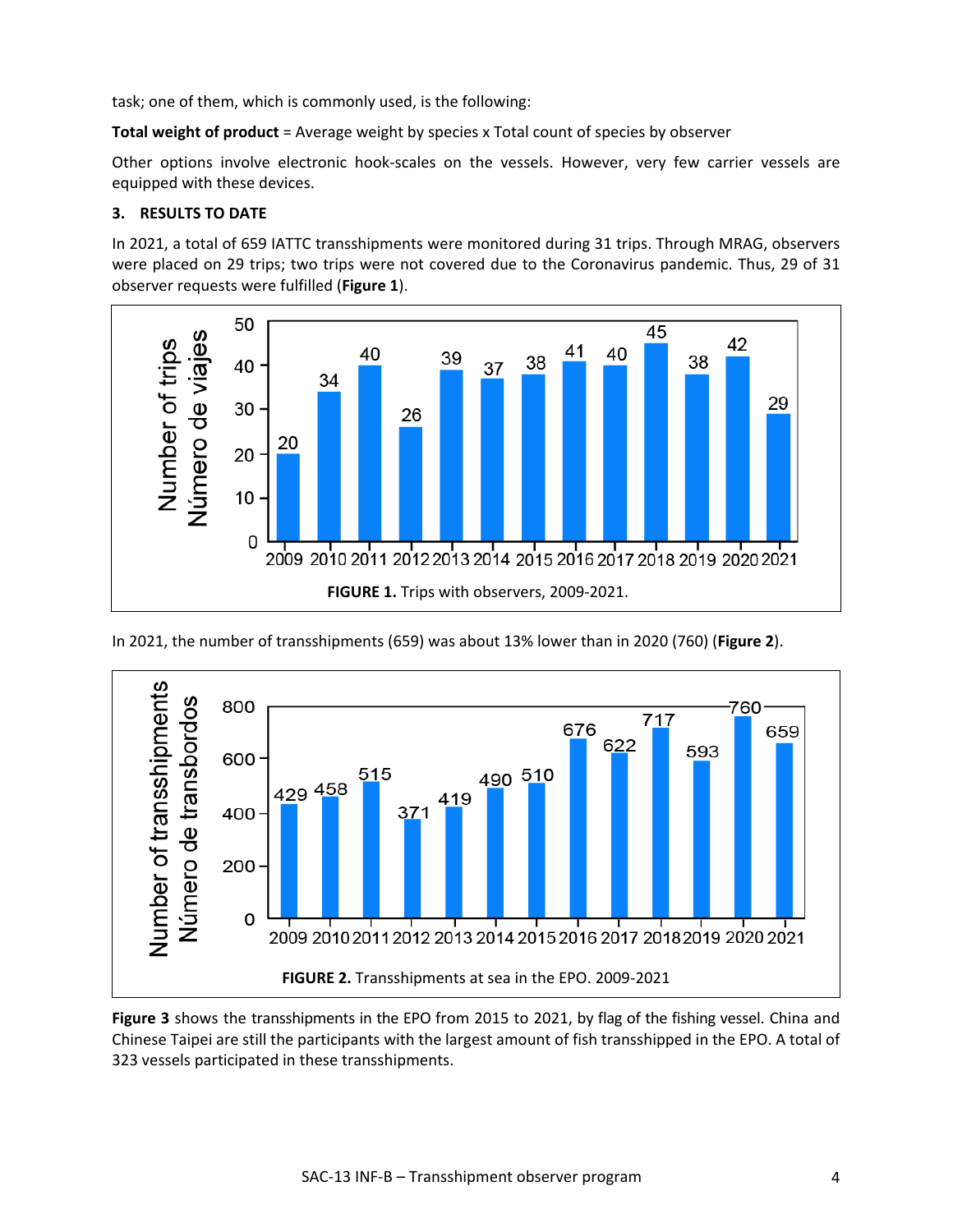task; one of them, which is commonly used, is the following:

**Total weight of product** = Average weight by species x Total count of species by observer

Other options involve electronic hook-scales on the vessels. However, very few carrier vessels are equipped with these devices.

#### **3. RESULTS TO DATE**

In 2021, a total of 659 IATTC transshipments were monitored during 31 trips. Through MRAG, observers were placed on 29 trips; two trips were not covered due to the Coronavirus pandemic. Thus, 29 of 31 observer requests were fulfilled (**Figure 1**).



In 2021, the number of transshipments (659) was about 13% lower than in 2020 (760) (**Figure 2**).



**Figure 3** shows the transshipments in the EPO from 2015 to 2021, by flag of the fishing vessel. China and Chinese Taipei are still the participants with the largest amount of fish transshipped in the EPO. A total of 323 vessels participated in these transshipments.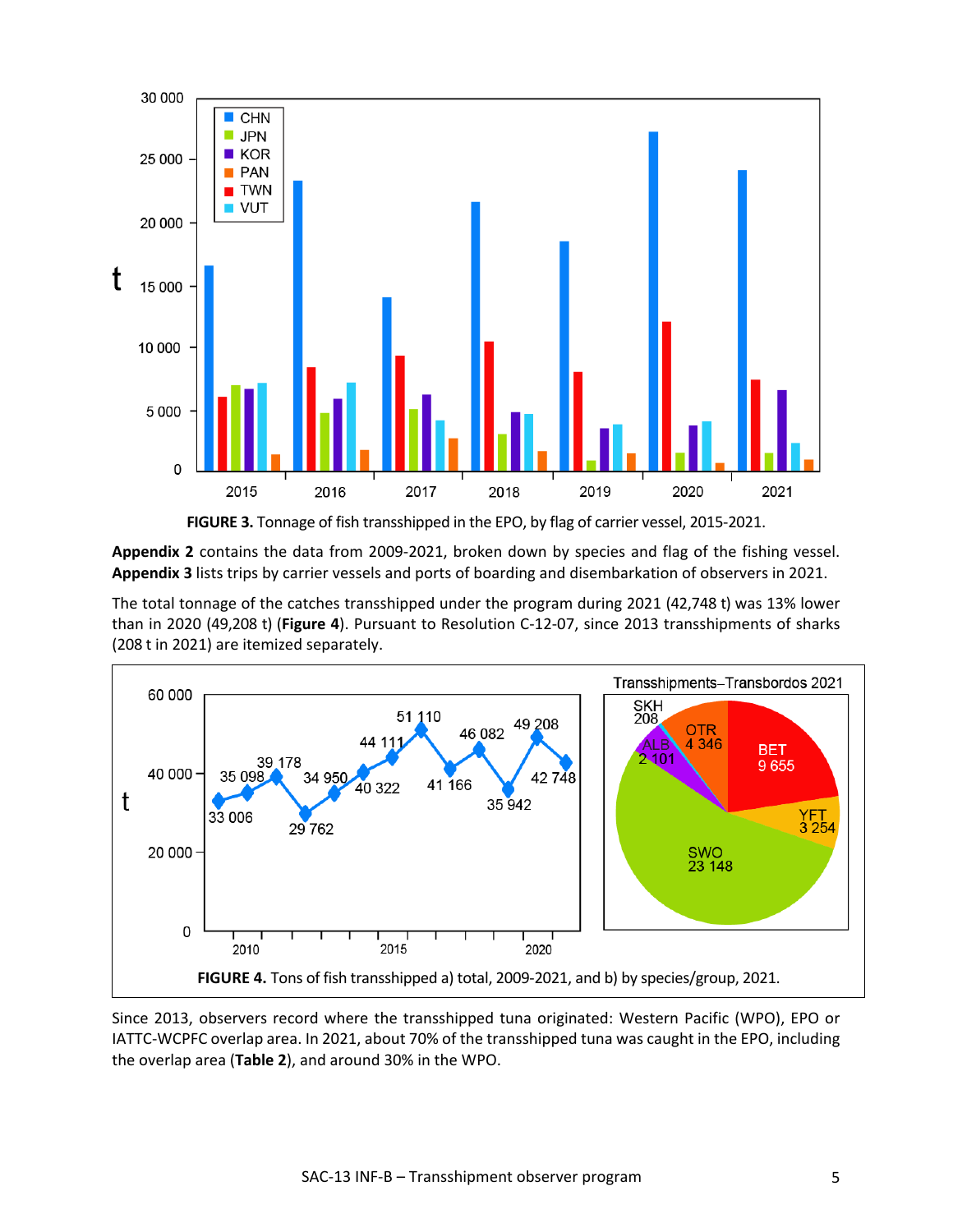



**Appendix 2** contains the data from 2009-2021, broken down by species and flag of the fishing vessel. **Appendix 3** lists trips by carrier vessels and ports of boarding and disembarkation of observers in 2021.

The total tonnage of the catches transshipped under the program during 2021 (42,748 t) was 13% lower than in 2020 (49,208 t) (**Figure 4**). Pursuant to Resolution C-12-07, since 2013 transshipments of sharks (208 t in 2021) are itemized separately.



Since 2013, observers record where the transshipped tuna originated: Western Pacific (WPO), EPO or IATTC-WCPFC overlap area. In 2021, about 70% of the transshipped tuna was caught in the EPO, including the overlap area (**Table 2**), and around 30% in the WPO.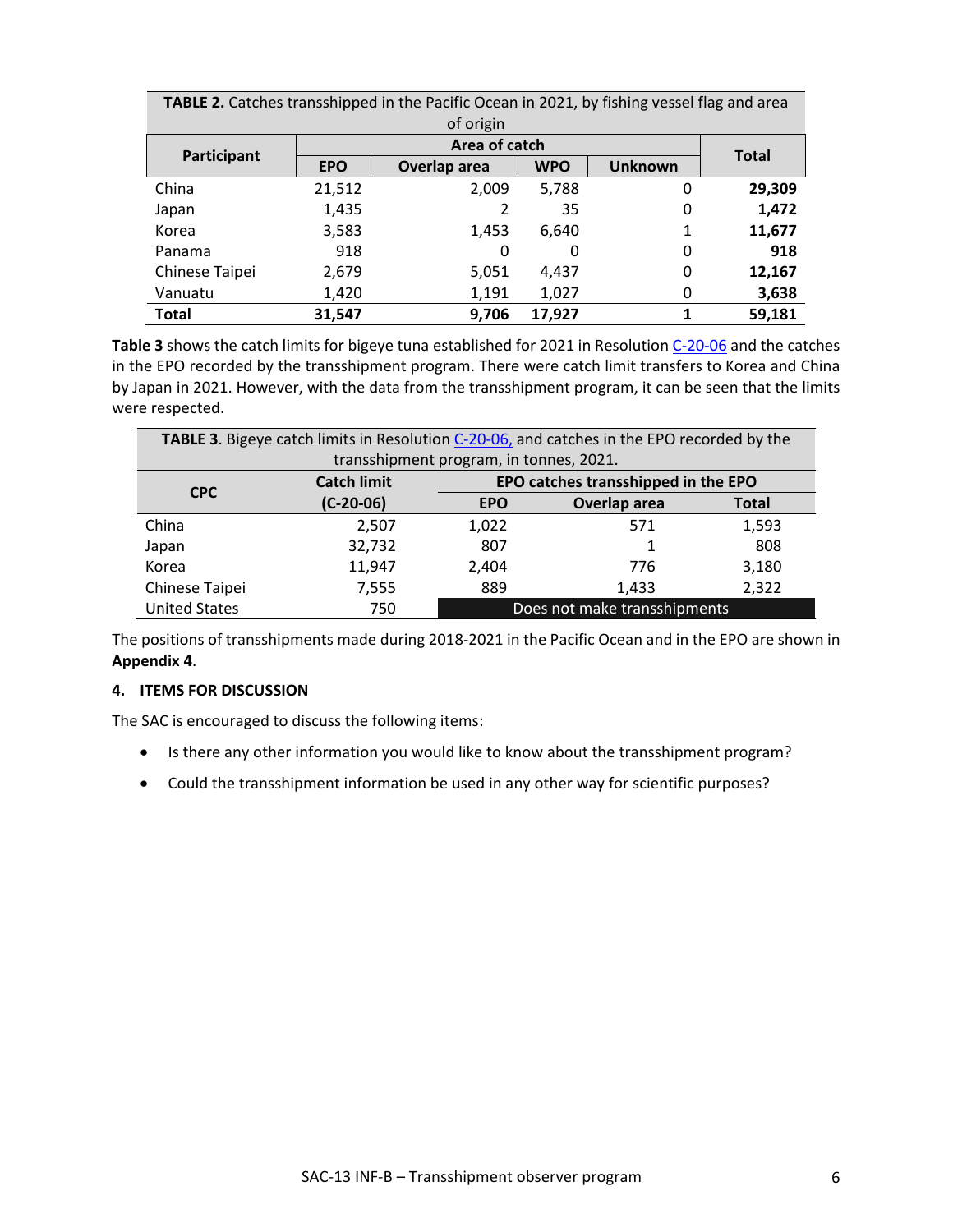| TABLE 2. Catches transshipped in the Pacific Ocean in 2021, by fishing vessel flag and area |            |               |            |                |              |  |  |  |  |
|---------------------------------------------------------------------------------------------|------------|---------------|------------|----------------|--------------|--|--|--|--|
| of origin                                                                                   |            |               |            |                |              |  |  |  |  |
|                                                                                             |            | Area of catch |            |                |              |  |  |  |  |
| Participant                                                                                 | <b>EPO</b> | Overlap area  | <b>WPO</b> | <b>Unknown</b> | <b>Total</b> |  |  |  |  |
| China                                                                                       | 21,512     | 2,009         | 5,788      | 0              | 29,309       |  |  |  |  |
| Japan                                                                                       | 1,435      | 2             | 35         | 0              | 1,472        |  |  |  |  |
| Korea                                                                                       | 3,583      | 1,453         | 6,640      | 1              | 11,677       |  |  |  |  |
| Panama                                                                                      | 918        | 0             | 0          | 0              | 918          |  |  |  |  |
| Chinese Taipei                                                                              | 2,679      | 5,051         | 4,437      | 0              | 12,167       |  |  |  |  |
| Vanuatu                                                                                     | 1,420      | 1,191         | 1,027      | 0              | 3,638        |  |  |  |  |
| <b>Total</b>                                                                                | 31,547     | 9,706         | 17,927     |                | 59,181       |  |  |  |  |

Table 3 shows the catch limits for bigeye tuna established for 2021 in Resolution [C-20-06](https://www.iattc.org/PDFFiles/Resolutions/IATTC/_Spanish/C-20-06_Medidas%20de%20Conservacion%20para%20los%20atunes%20tropicales%20en%20el%20OPO%20durante%202021%20de%20conformidad%20con%20la%20Res%20C-20-05.pdfhttps:/www.iattc.org/PDFFiles/Resolutions/IATTC/_English/C-17-02-Active_Tuna%20conservation%20in%20the%20EPO%202018-2020%20and%20amendment%20to%20resolution%20C-17-01.pdf) and the catches in the EPO recorded by the transshipment program. There were catch limit transfers to Korea and China by Japan in 2021. However, with the data from the transshipment program, it can be seen that the limits were respected.

| TABLE 3. Bigeye catch limits in Resolution C-20-06, and catches in the EPO recorded by the |             |            |              |              |  |  |  |  |  |
|--------------------------------------------------------------------------------------------|-------------|------------|--------------|--------------|--|--|--|--|--|
| transshipment program, in tonnes, 2021.                                                    |             |            |              |              |  |  |  |  |  |
| EPO catches transshipped in the EPO<br><b>Catch limit</b>                                  |             |            |              |              |  |  |  |  |  |
| <b>CPC</b>                                                                                 | $(C-20-06)$ | <b>EPO</b> | Overlap area | <b>Total</b> |  |  |  |  |  |
| China                                                                                      | 2,507       | 1,022      | 571          | 1,593        |  |  |  |  |  |
| Japan                                                                                      | 32,732      | 807        |              | 808          |  |  |  |  |  |
| Korea                                                                                      | 11,947      | 2,404      | 776          | 3,180        |  |  |  |  |  |
| Chinese Taipei                                                                             | 7,555       | 889        | 1,433        | 2,322        |  |  |  |  |  |
| <b>United States</b><br>Does not make transshipments<br>750                                |             |            |              |              |  |  |  |  |  |

The positions of transshipments made during 2018-2021 in the Pacific Ocean and in the EPO are shown in **Appendix 4**.

#### **4. ITEMS FOR DISCUSSION**

The SAC is encouraged to discuss the following items:

- Is there any other information you would like to know about the transshipment program?
- Could the transshipment information be used in any other way for scientific purposes?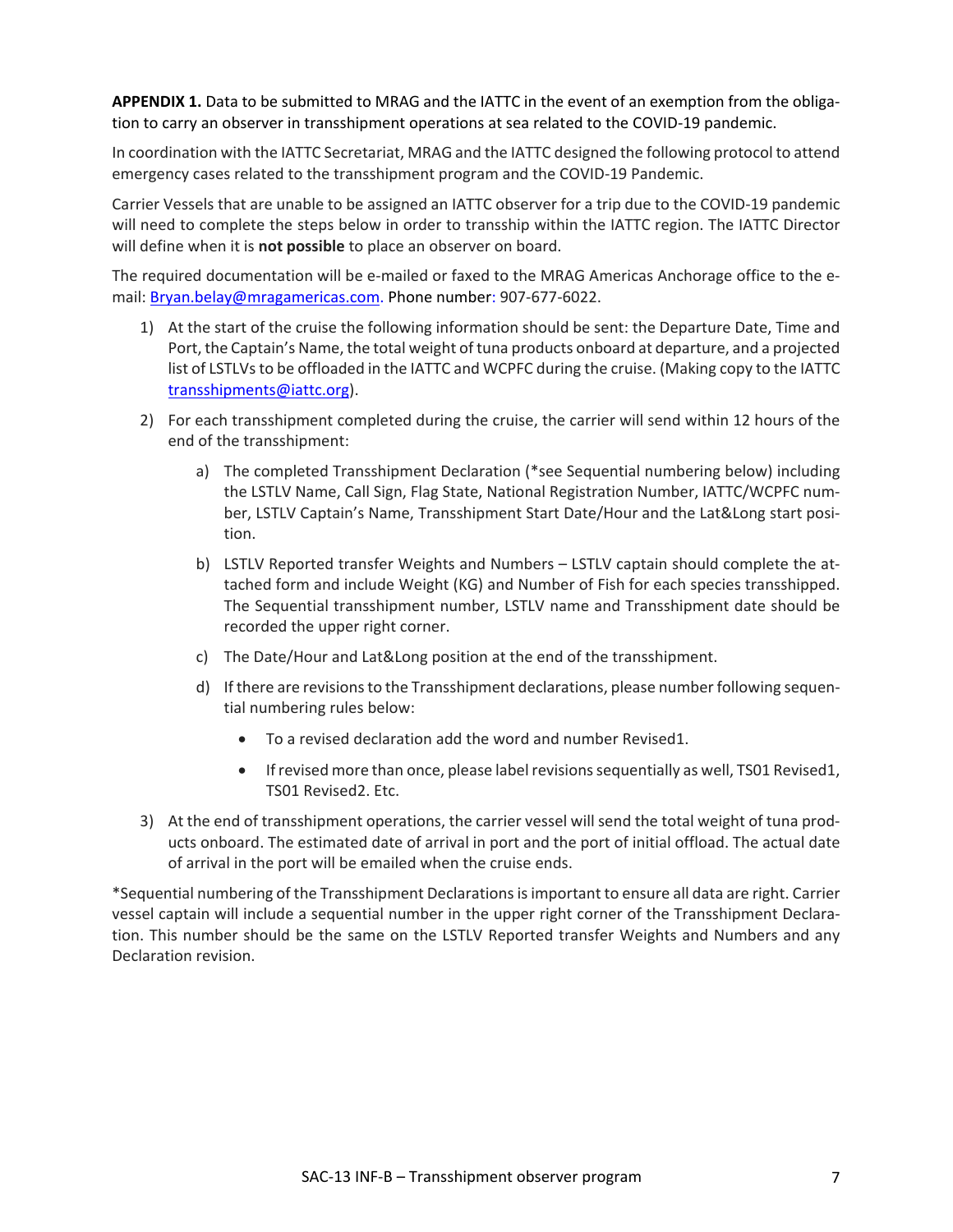**APPENDIX 1.** Data to be submitted to MRAG and the IATTC in the event of an exemption from the obligation to carry an observer in transshipment operations at sea related to the COVID-19 pandemic.

In coordination with the IATTC Secretariat, MRAG and the IATTC designed the following protocol to attend emergency cases related to the transshipment program and the COVID-19 Pandemic.

Carrier Vessels that are unable to be assigned an IATTC observer for a trip due to the COVID-19 pandemic will need to complete the steps below in order to transship within the IATTC region. The IATTC Director will define when it is **not possible** to place an observer on board.

The required documentation will be e-mailed or faxed to the MRAG Americas Anchorage office to the email[: Bryan.belay@mragamericas.com.](mailto:Bryan.belay@mragamericas.com) Phone number: 907-677-6022.

- 1) At the start of the cruise the following information should be sent: the Departure Date, Time and Port, the Captain's Name, the total weight of tuna products onboard at departure, and a projected list of LSTLVs to be offloaded in the IATTC and WCPFC during the cruise. (Making copy to the IATTC [transshipments@iattc.org\)](mailto:transshipments@iattc.org).
- 2) For each transshipment completed during the cruise, the carrier will send within 12 hours of the end of the transshipment:
	- a) The completed Transshipment Declaration (\*see Sequential numbering below) including the LSTLV Name, Call Sign, Flag State, National Registration Number, IATTC/WCPFC number, LSTLV Captain's Name, Transshipment Start Date/Hour and the Lat&Long start position.
	- b) LSTLV Reported transfer Weights and Numbers LSTLV captain should complete the attached form and include Weight (KG) and Number of Fish for each species transshipped. The Sequential transshipment number, LSTLV name and Transshipment date should be recorded the upper right corner.
	- c) The Date/Hour and Lat&Long position at the end of the transshipment.
	- d) If there are revisions to the Transshipment declarations, please number following sequential numbering rules below:
		- To a revised declaration add the word and number Revised1.
		- If revised more than once, please label revisions sequentially as well, TS01 Revised1, TS01 Revised2. Etc.
- 3) At the end of transshipment operations, the carrier vessel will send the total weight of tuna products onboard. The estimated date of arrival in port and the port of initial offload. The actual date of arrival in the port will be emailed when the cruise ends.

\*Sequential numbering of the Transshipment Declarations isimportant to ensure all data are right. Carrier vessel captain will include a sequential number in the upper right corner of the Transshipment Declaration. This number should be the same on the LSTLV Reported transfer Weights and Numbers and any Declaration revision.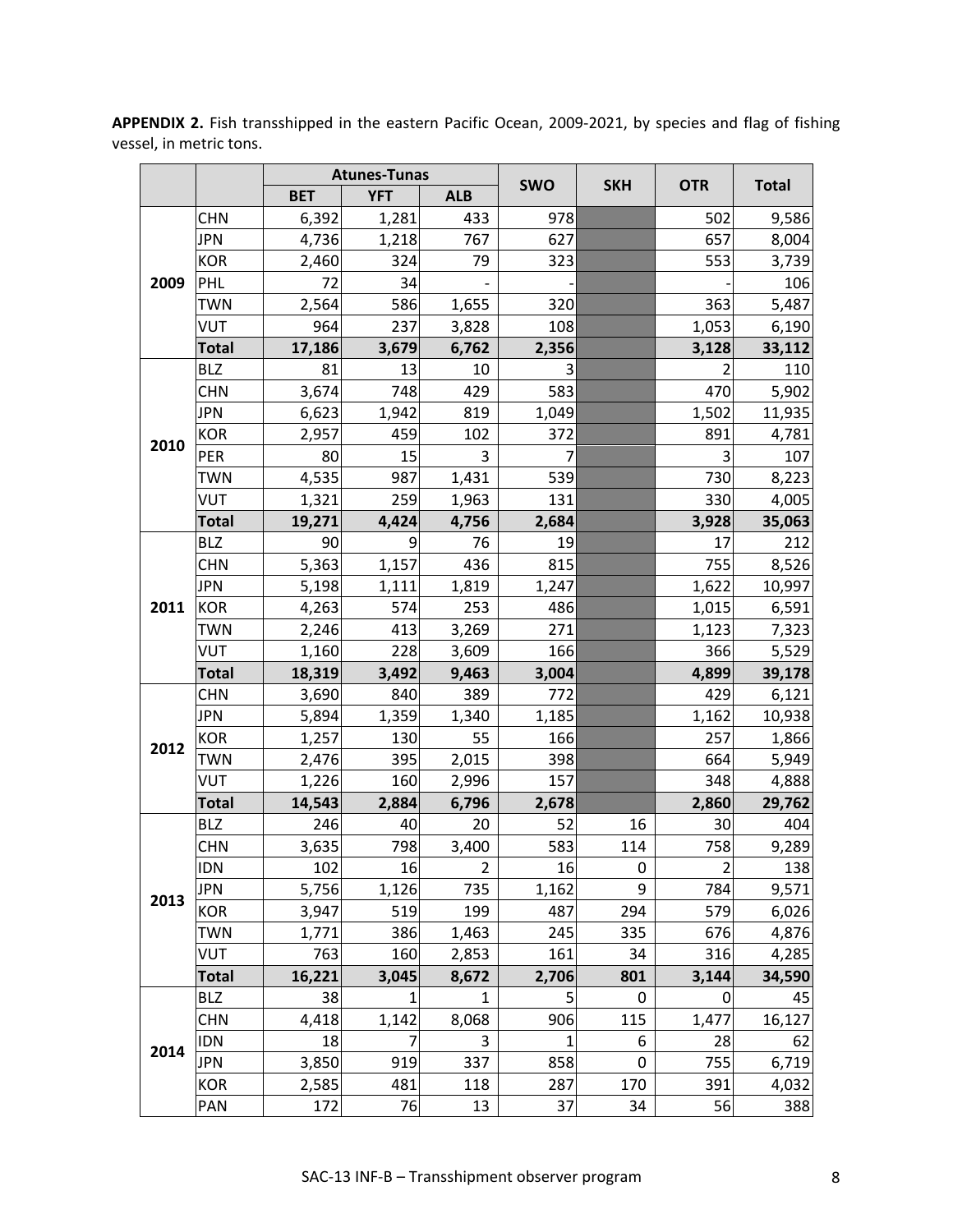|      |              |            | <b>Atunes-Tunas</b> |                |            |            |                | <b>Total</b> |  |
|------|--------------|------------|---------------------|----------------|------------|------------|----------------|--------------|--|
|      |              | <b>BET</b> | <b>YFT</b>          | <b>ALB</b>     | <b>SWO</b> | <b>SKH</b> | <b>OTR</b>     |              |  |
|      | <b>CHN</b>   | 6,392      | 1,281               | 433            | 978        |            | 502            | 9,586        |  |
|      | <b>JPN</b>   | 4,736      | 1,218               | 767            | 627        |            | 657            | 8,004        |  |
|      | <b>KOR</b>   | 2,460      | 324                 | 79             | 323        |            | 553            | 3,739        |  |
| 2009 | <b>PHL</b>   | 72         | 34                  |                |            |            |                | 106          |  |
|      | <b>TWN</b>   | 2,564      | 586                 | 1,655          | 320        |            | 363            | 5,487        |  |
|      | <b>VUT</b>   | 964        | 237                 | 3,828          | 108        |            | 1,053          | 6,190        |  |
|      | <b>Total</b> | 17,186     | 3,679               | 6,762          | 2,356      |            | 3,128          | 33,112       |  |
|      | <b>BLZ</b>   | 81         | 13                  | 10             | 3          |            | 2              | 110          |  |
|      | <b>CHN</b>   | 3,674      | 748                 | 429            | 583        |            | 470            | 5,902        |  |
|      | <b>JPN</b>   | 6,623      | 1,942               | 819            | 1,049      |            | 1,502          | 11,935       |  |
| 2010 | <b>KOR</b>   | 2,957      | 459                 | 102            | 372        |            | 891            | 4,781        |  |
|      | PER          | 80         | 15                  | 3              | 7          |            | 3              | 107          |  |
|      | <b>TWN</b>   | 4,535      | 987                 | 1,431          | 539        |            | 730            | 8,223        |  |
|      | <b>VUT</b>   | 1,321      | 259                 | 1,963          | 131        |            | 330            | 4,005        |  |
|      | <b>Total</b> | 19,271     | 4,424               | 4,756          | 2,684      |            | 3,928          | 35,063       |  |
|      | <b>BLZ</b>   | 90         | 9                   | 76             | 19         |            | 17             | 212          |  |
|      | <b>CHN</b>   | 5,363      | 1,157               | 436            | 815        |            | 755            | 8,526        |  |
|      | <b>JPN</b>   | 5,198      | 1,111               | 1,819          | 1,247      |            | 1,622          | 10,997       |  |
| 2011 | <b>KOR</b>   | 4,263      | 574                 | 253            | 486        |            | 1,015          | 6,591        |  |
|      | <b>TWN</b>   | 2,246      | 413                 | 3,269          | 271        |            | 1,123          | 7,323        |  |
|      | <b>VUT</b>   | 1,160      | 228                 | 3,609          | 166        |            | 366            | 5,529        |  |
|      | <b>Total</b> | 18,319     | 3,492               | 9,463          | 3,004      |            | 4,899          | 39,178       |  |
|      | <b>CHN</b>   | 3,690      | 840                 | 389            | 772        |            | 429            | 6,121        |  |
|      | <b>JPN</b>   | 5,894      | 1,359               | 1,340          | 1,185      |            | 1,162          | 10,938       |  |
| 2012 | <b>KOR</b>   | 1,257      | 130                 | 55             | 166        |            | 257            | 1,866        |  |
|      | <b>TWN</b>   | 2,476      | 395                 | 2,015          | 398        |            | 664            | 5,949        |  |
|      | <b>VUT</b>   | 1,226      | 160                 | 2,996          | 157        |            | 348            | 4,888        |  |
|      | <b>Total</b> | 14,543     | 2,884               | 6,796          | 2,678      |            | 2,860          | 29,762       |  |
|      | <b>BLZ</b>   | 246        | 40                  | 20             | 52         | 16         | 30             | 404          |  |
|      | <b>CHN</b>   | 3,635      | 798                 | 3,400          | 583        | 114        | 758            | 9,289        |  |
|      | <b>IDN</b>   | 102        | 16                  | $\overline{2}$ | 16         | 0          | $\overline{2}$ | 138          |  |
| 2013 | <b>JPN</b>   | 5,756      | 1,126               | 735            | 1,162      | 9          | 784            | 9,571        |  |
|      | <b>KOR</b>   | 3,947      | 519                 | 199            | 487        | 294        | 579            | 6,026        |  |
|      | <b>TWN</b>   | 1,771      | 386                 | 1,463          | 245        | 335        | 676            | 4,876        |  |
|      | <b>VUT</b>   | 763        | 160                 | 2,853          | 161        | 34         | 316            | 4,285        |  |
|      | <b>Total</b> | 16,221     | 3,045               | 8,672          | 2,706      | 801        | 3,144          | 34,590       |  |
|      | <b>BLZ</b>   | 38         | 1                   | $\mathbf{1}$   | 5          | 0          | 0              | 45           |  |
|      | <b>CHN</b>   | 4,418      | 1,142               | 8,068          | 906        | 115        | 1,477          | 16,127       |  |
| 2014 | <b>IDN</b>   | 18         | 7                   | 3              | 1          | 6          | 28             | 62           |  |
|      | <b>JPN</b>   | 3,850      | 919                 | 337            | 858        | 0          | 755            | 6,719        |  |
|      | <b>KOR</b>   | 2,585      | 481                 | 118            | 287        | 170        | 391            | 4,032        |  |
|      | PAN          | 172        | 76                  | 13             | 37         | 34         | 56             | 388          |  |

**APPENDIX 2.** Fish transshipped in the eastern Pacific Ocean, 2009-2021, by species and flag of fishing vessel, in metric tons.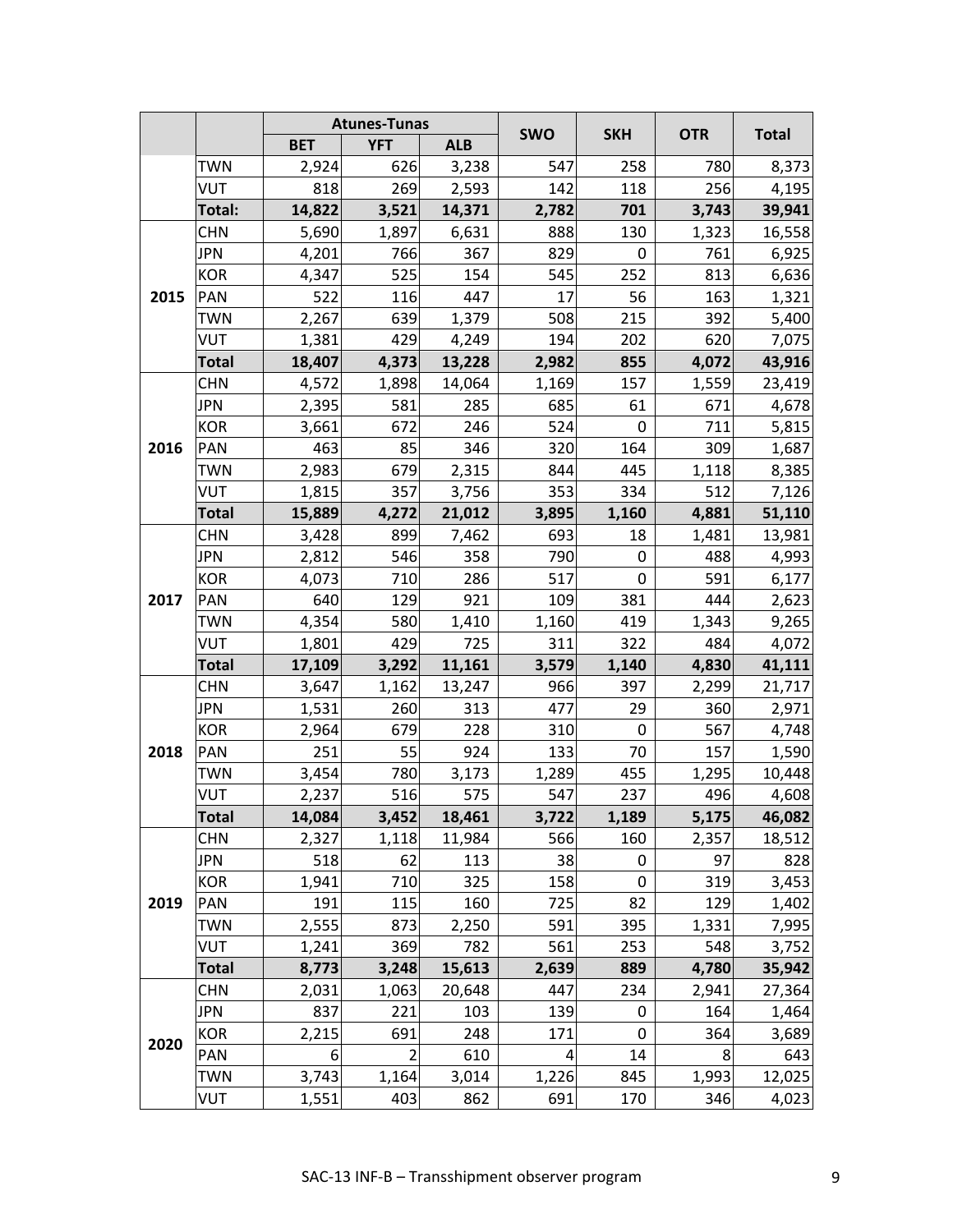|      |              |            | <b>Atunes-Tunas</b>     |            |            |                  |            | <b>Total</b> |  |
|------|--------------|------------|-------------------------|------------|------------|------------------|------------|--------------|--|
|      |              | <b>BET</b> | <b>YFT</b>              | <b>ALB</b> | <b>SWO</b> | <b>SKH</b>       | <b>OTR</b> |              |  |
|      | <b>TWN</b>   | 2,924      | 626                     | 3,238      | 547        | 258              | 780        | 8,373        |  |
|      | <b>VUT</b>   | 818        | 269                     | 2,593      | 142        | 118              | 256        | 4,195        |  |
|      | Total:       | 14,822     | 3,521                   | 14,371     | 2,782      | 701              | 3,743      | 39,941       |  |
| 2015 | <b>CHN</b>   | 5,690      | 1,897                   | 6,631      | 888        | 130              | 1,323      | 16,558       |  |
|      | <b>JPN</b>   | 4,201      | 766                     | 367        | 829        | 0                | 761        | 6,925        |  |
|      | <b>KOR</b>   | 4,347      | 525                     | 154        | 545        | 252              | 813        | 6,636        |  |
|      | <b>PAN</b>   | 522        | 116                     | 447        | 17         | 56               | 163        | 1,321        |  |
|      | <b>TWN</b>   | 2,267      | 639                     | 1,379      | 508        | 215              | 392        | 5,400        |  |
|      | <b>VUT</b>   | 1,381      | 429                     | 4,249      | 194        | 202              | 620        | 7,075        |  |
|      | <b>Total</b> | 18,407     | 4,373                   | 13,228     | 2,982      | 855              | 4,072      | 43,916       |  |
|      | <b>CHN</b>   | 4,572      | 1,898                   | 14,064     | 1,169      | 157              | 1,559      | 23,419       |  |
|      | <b>JPN</b>   | 2,395      | 581                     | 285        | 685        | 61               | 671        | 4,678        |  |
|      | <b>KOR</b>   | 3,661      | 672                     | 246        | 524        | 0                | 711        | 5,815        |  |
| 2016 | PAN          | 463        | 85                      | 346        | 320        | 164              | 309        | 1,687        |  |
|      | <b>TWN</b>   | 2,983      | 679                     | 2,315      | 844        | 445              | 1,118      | 8,385        |  |
|      | <b>VUT</b>   | 1,815      | 357                     | 3,756      | 353        | 334              | 512        | 7,126        |  |
|      | <b>Total</b> | 15,889     | 4,272                   | 21,012     | 3,895      | 1,160            | 4,881      | 51,110       |  |
|      | <b>CHN</b>   | 3,428      | 899                     | 7,462      | 693        | 18               | 1,481      | 13,981       |  |
|      | <b>JPN</b>   | 2,812      | 546                     | 358        | 790        | $\boldsymbol{0}$ | 488        | 4,993        |  |
|      | <b>KOR</b>   | 4,073      | 710                     | 286        | 517        | 0                | 591        | 6,177        |  |
| 2017 | <b>PAN</b>   | 640        | 129                     | 921        | 109        | 381              | 444        | 2,623        |  |
|      | <b>TWN</b>   | 4,354      | 580                     | 1,410      | 1,160      | 419              | 1,343      | 9,265        |  |
|      | <b>VUT</b>   | 1,801      | 429                     | 725        | 311        | 322              | 484        | 4,072        |  |
|      | <b>Total</b> | 17,109     | 3,292                   | 11,161     | 3,579      | 1,140            | 4,830      | 41,111       |  |
|      | <b>CHN</b>   | 3,647      | 1,162                   | 13,247     | 966        | 397              | 2,299      | 21,717       |  |
|      | <b>JPN</b>   | 1,531      | 260                     | 313        | 477        | 29               | 360        | 2,971        |  |
|      | <b>KOR</b>   | 2,964      | 679                     | 228        | 310        | 0                | 567        | 4,748        |  |
| 2018 | <b>PAN</b>   | 251        | 55                      | 924        | 133        | 70               | 157        | 1,590        |  |
|      | <b>TWN</b>   | 3,454      | 780                     | 3,173      | 1,289      | 455              | 1,295      | 10,448       |  |
|      | <b>VUT</b>   | 2,237      | 516                     | 575        | 547        | 237              | 496        | 4,608        |  |
|      | <b>Total</b> | 14,084     | 3,452                   | 18,461     | 3,722      | 1,189            | 5,175      | 46,082       |  |
|      | <b>CHN</b>   | 2,327      | 1,118                   | 11,984     | 566        | 160              | 2,357      | 18,512       |  |
|      | <b>JPN</b>   | 518        | 62                      | 113        | 38         | 0                | 97         | 828          |  |
|      | <b>KOR</b>   | 1,941      | 710                     | 325        | 158        | 0                | 319        | 3,453        |  |
| 2019 | PAN          | 191        | 115                     | 160        | 725        | 82               | 129        | 1,402        |  |
|      | <b>TWN</b>   | 2,555      | 873                     | 2,250      | 591        | 395              | 1,331      | 7,995        |  |
|      | <b>VUT</b>   | 1,241      | 369                     | 782        | 561        | 253              | 548        | 3,752        |  |
|      | <b>Total</b> | 8,773      | 3,248                   | 15,613     | 2,639      | 889              | 4,780      | 35,942       |  |
|      | <b>CHN</b>   | 2,031      | 1,063                   | 20,648     | 447        | 234              | 2,941      | 27,364       |  |
|      | <b>JPN</b>   | 837        | 221                     | 103        | 139        | 0                | 164        | 1,464        |  |
| 2020 | <b>KOR</b>   | 2,215      | 691                     | 248        | 171        | 0                | 364        | 3,689        |  |
|      | <b>PAN</b>   | 6          | $\overline{\mathbf{c}}$ | 610        | 4          | 14               | 8          | 643          |  |
|      | <b>TWN</b>   | 3,743      | 1,164                   | 3,014      | 1,226      | 845              | 1,993      | 12,025       |  |
|      | <b>VUT</b>   | 1,551      | 403                     | 862        | 691        | 170              | 346        | 4,023        |  |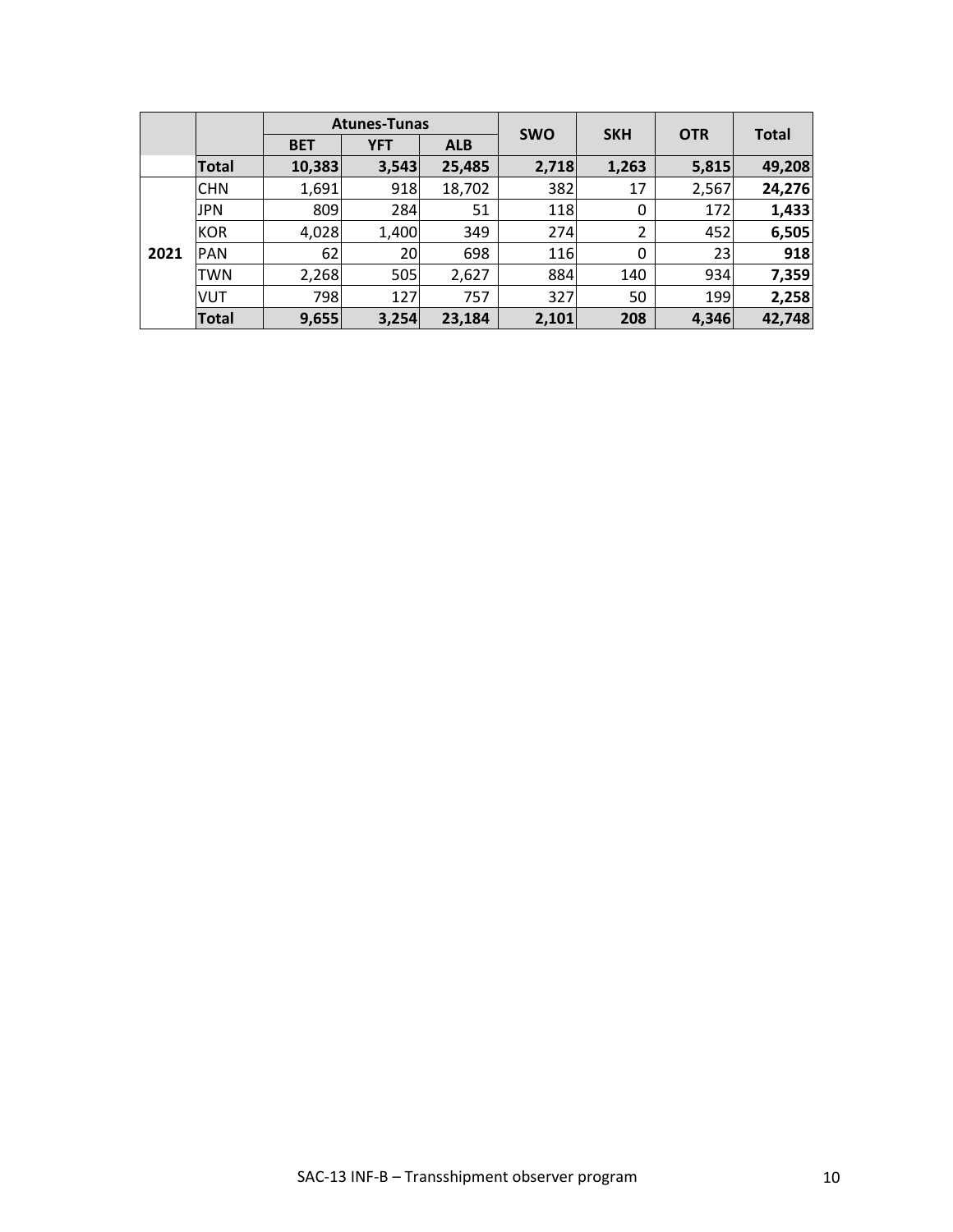|      |              |            | <b>Atunes-Tunas</b> |            |            |            |            |              |
|------|--------------|------------|---------------------|------------|------------|------------|------------|--------------|
|      |              | <b>BET</b> | <b>YFT</b>          | <b>ALB</b> | <b>SWO</b> | <b>SKH</b> | <b>OTR</b> | <b>Total</b> |
|      | Total        | 10,383     | 3,543               | 25,485     | 2,718      | 1,263      | 5,815      | 49,208       |
|      | <b>CHN</b>   | 1,691      | 918                 | 18,702     | 382        | 17         | 2,567      | 24,276       |
|      | <b>JPN</b>   | 809        | 284                 | 51         | 118        | 0          | 172        | 1,433        |
|      | <b>KOR</b>   | 4,028      | 1,400               | 349        | 274        | 2          | 452        | 6,505        |
| 2021 | <b>PAN</b>   | 62         | 20                  | 698        | 116        | 0          | 23         | 918          |
|      | <b>TWN</b>   | 2,268      | 505                 | 2,627      | 884        | 140        | 934        | 7,359        |
|      | <b>VUT</b>   | 798        | 127                 | 757        | 327        | 50         | 199        | 2,258        |
|      | <b>Total</b> | 9,655      | 3,254               | 23,184     | 2,101      | 208        | 4,346      | 42,748       |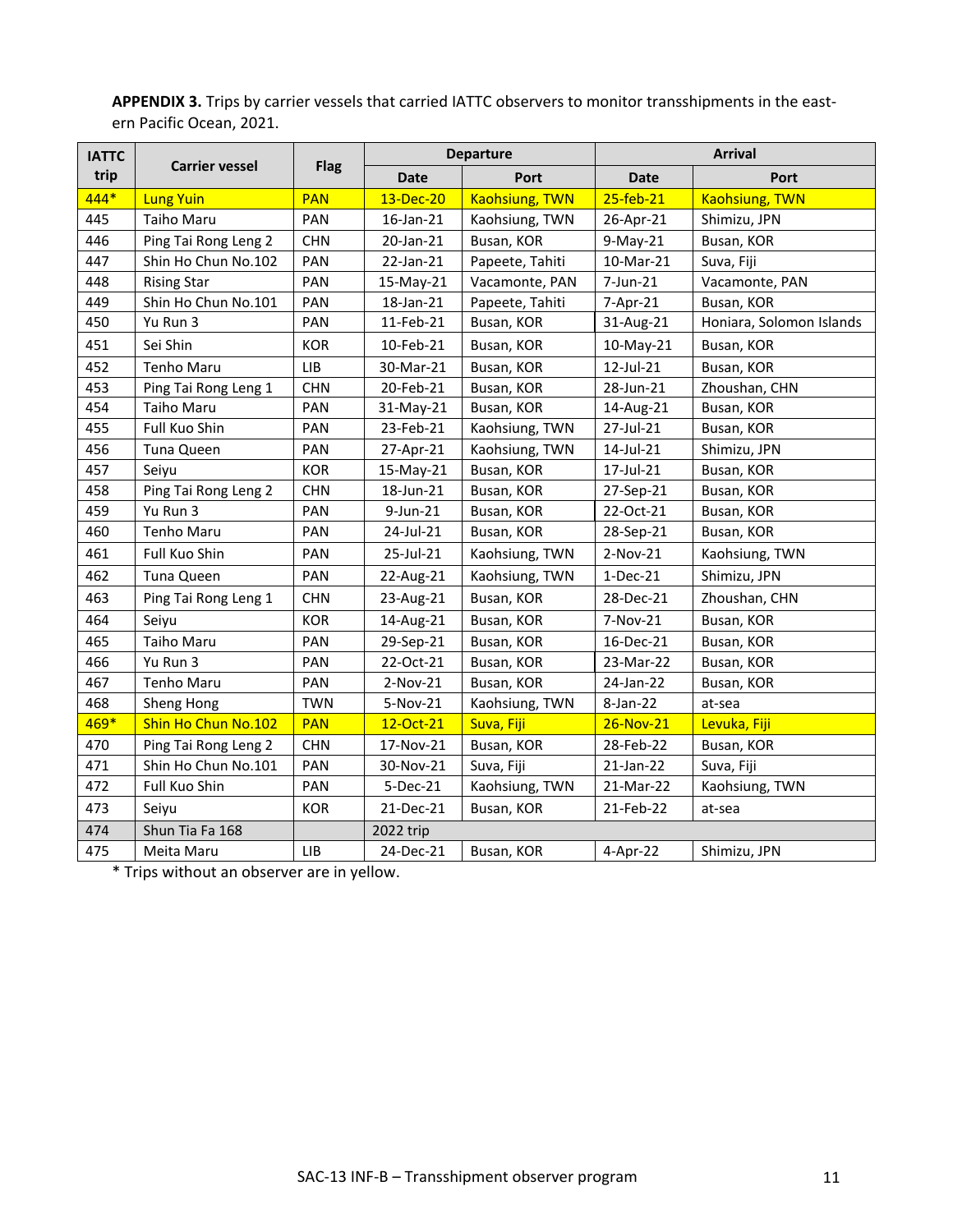**APPENDIX 3.** Trips by carrier vessels that carried IATTC observers to monitor transshipments in the eastern Pacific Ocean, 2021.

| <b>IATTC</b> | <b>Carrier vessel</b> |            | <b>Departure</b><br><b>Flag</b> |                       |                 | <b>Arrival</b>           |  |  |
|--------------|-----------------------|------------|---------------------------------|-----------------------|-----------------|--------------------------|--|--|
| trip         |                       |            | <b>Date</b>                     | Port                  | <b>Date</b>     | Port                     |  |  |
| 444*         | <b>Lung Yuin</b>      | <b>PAN</b> | 13-Dec-20                       | <b>Kaohsiung, TWN</b> | $25$ -feb- $21$ | <b>Kaohsiung, TWN</b>    |  |  |
| 445          | Taiho Maru            | PAN        | 16-Jan-21                       | Kaohsiung, TWN        | 26-Apr-21       | Shimizu, JPN             |  |  |
| 446          | Ping Tai Rong Leng 2  | <b>CHN</b> | 20-Jan-21                       | Busan, KOR            | $9-May-21$      | Busan, KOR               |  |  |
| 447          | Shin Ho Chun No.102   | PAN        | 22-Jan-21                       | Papeete, Tahiti       | 10-Mar-21       | Suva, Fiji               |  |  |
| 448          | <b>Rising Star</b>    | PAN        | 15-May-21                       | Vacamonte, PAN        | $7$ -Jun-21     | Vacamonte, PAN           |  |  |
| 449          | Shin Ho Chun No.101   | PAN        | 18-Jan-21                       | Papeete, Tahiti       | 7-Apr-21        | Busan, KOR               |  |  |
| 450          | Yu Run 3              | PAN        | 11-Feb-21                       | Busan, KOR            | 31-Aug-21       | Honiara, Solomon Islands |  |  |
| 451          | Sei Shin              | <b>KOR</b> | 10-Feb-21                       | Busan, KOR            | $10$ -May-21    | Busan, KOR               |  |  |
| 452          | <b>Tenho Maru</b>     | <b>LIB</b> | 30-Mar-21                       | Busan, KOR            | 12-Jul-21       | Busan, KOR               |  |  |
| 453          | Ping Tai Rong Leng 1  | <b>CHN</b> | 20-Feb-21                       | Busan, KOR            | 28-Jun-21       | Zhoushan, CHN            |  |  |
| 454          | Taiho Maru            | PAN        | 31-May-21                       | Busan, KOR            | 14-Aug-21       | Busan, KOR               |  |  |
| 455          | Full Kuo Shin         | PAN        | 23-Feb-21                       | Kaohsiung, TWN        | 27-Jul-21       | Busan, KOR               |  |  |
| 456          | Tuna Queen            | PAN        | 27-Apr-21                       | Kaohsiung, TWN        | 14-Jul-21       | Shimizu, JPN             |  |  |
| 457          | Seiyu                 | <b>KOR</b> | 15-May-21                       | Busan, KOR            | 17-Jul-21       | Busan, KOR               |  |  |
| 458          | Ping Tai Rong Leng 2  | <b>CHN</b> | 18-Jun-21                       | Busan, KOR            | 27-Sep-21       | Busan, KOR               |  |  |
| 459          | Yu Run 3              | PAN        | 9-Jun-21                        | Busan, KOR            | 22-Oct-21       | Busan, KOR               |  |  |
| 460          | Tenho Maru            | PAN        | 24-Jul-21                       | Busan, KOR            | 28-Sep-21       | Busan, KOR               |  |  |
| 461          | Full Kuo Shin         | PAN        | 25-Jul-21                       | Kaohsiung, TWN        | 2-Nov-21        | Kaohsiung, TWN           |  |  |
| 462          | Tuna Queen            | PAN        | 22-Aug-21                       | Kaohsiung, TWN        | $1-Dec-21$      | Shimizu, JPN             |  |  |
| 463          | Ping Tai Rong Leng 1  | <b>CHN</b> | 23-Aug-21                       | Busan, KOR            | 28-Dec-21       | Zhoushan, CHN            |  |  |
| 464          | Seiyu                 | <b>KOR</b> | 14-Aug-21                       | Busan, KOR            | 7-Nov-21        | Busan, KOR               |  |  |
| 465          | Taiho Maru            | PAN        | 29-Sep-21                       | Busan, KOR            | 16-Dec-21       | Busan, KOR               |  |  |
| 466          | Yu Run 3              | PAN        | 22-Oct-21                       | Busan, KOR            | 23-Mar-22       | Busan, KOR               |  |  |
| 467          | Tenho Maru            | PAN        | 2-Nov-21                        | Busan, KOR            | 24-Jan-22       | Busan, KOR               |  |  |
| 468          | Sheng Hong            | <b>TWN</b> | 5-Nov-21                        | Kaohsiung, TWN        | 8-Jan-22        | at-sea                   |  |  |
| 469*         | Shin Ho Chun No.102   | <b>PAN</b> | 12-Oct-21                       | Suva, Fiji            | 26-Nov-21       | Levuka, Fiji             |  |  |
| 470          | Ping Tai Rong Leng 2  | <b>CHN</b> | 17-Nov-21                       | Busan, KOR            | 28-Feb-22       | Busan, KOR               |  |  |
| 471          | Shin Ho Chun No.101   | PAN        | 30-Nov-21                       | Suva, Fiji            | 21-Jan-22       | Suva, Fiji               |  |  |
| 472          | Full Kuo Shin         | PAN        | $5-Dec-21$                      | Kaohsiung, TWN        | 21-Mar-22       | Kaohsiung, TWN           |  |  |
| 473          | Seivu                 | <b>KOR</b> | 21-Dec-21                       | Busan, KOR            | 21-Feb-22       | at-sea                   |  |  |
| 474          | Shun Tia Fa 168       |            | 2022 trip                       |                       |                 |                          |  |  |
| 475          | Meita Maru            | LIB        | 24-Dec-21                       | Busan, KOR            | 4-Apr-22        | Shimizu, JPN             |  |  |

\* Trips without an observer are in yellow.